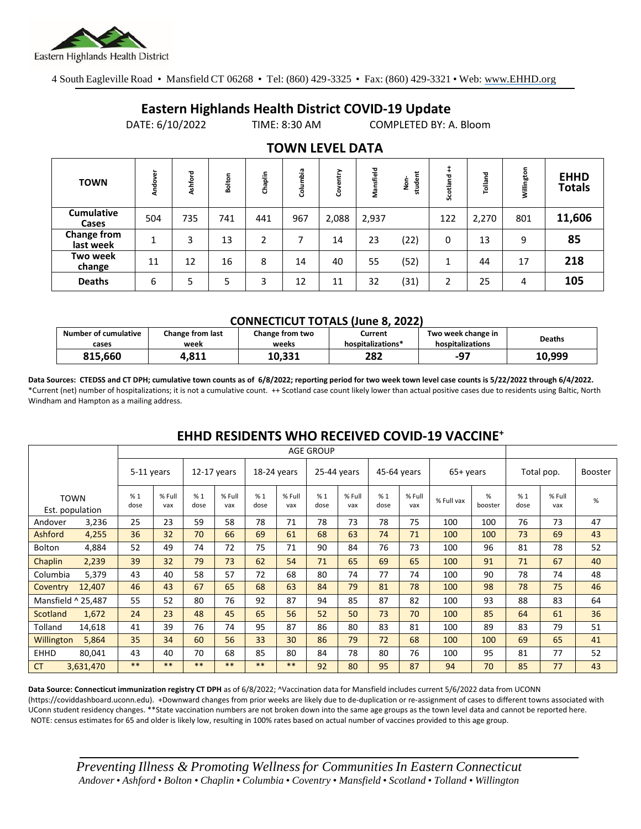

4 South Eagleville Road • Mansfield CT 06268 • Tel: (860) 429-3325 • Fax: (860) 429-3321 • Web: www.EHHD.org

## **Eastern Highlands Health District COVID-19 Update**

DATE: 6/10/2022 TIME: 8:30 AM COMPLETED BY: A. Bloom

**TOWN Andover Ashford Bolton Chaplin Columbia Coventry Mansfield Non- student Scotland ++ Tolland Willington EHHD Totals Cumulative Cases** <sup>504</sup> <sup>735</sup> <sup>741</sup> <sup>441</sup> <sup>967</sup> 2,088 2,937 <sup>122</sup> 2,270 <sup>801</sup> **11,606 Change from last week** <sup>1</sup> <sup>3</sup> <sup>13</sup> <sup>2</sup> <sup>7</sup> <sup>14</sup> <sup>23</sup> (22) <sup>0</sup> <sup>13</sup> <sup>9</sup> **85 Two week change** 11 12 16 8 14 40 55 (52) 1 44 17 218 **Deaths** 6 5 5 3 12 11 32 (31) 2 25 4 **105**

### **TOWN LEVEL DATA**

#### **CONNECTICUT TOTALS (June 8, 2022)**

| Number of cumulative | <b>Change from last</b> | Change from two | Current           | Two week change in | <b>Deaths</b> |  |  |  |  |
|----------------------|-------------------------|-----------------|-------------------|--------------------|---------------|--|--|--|--|
| cases                | week                    | weeks           | hospitalizations* | hospitalizations   |               |  |  |  |  |
| 815.660              | 1.811                   | 10.331          | 282               | -97                | 10.999        |  |  |  |  |

**Data Sources: CTEDSS and CT DPH; cumulative town counts as of 6/8/2022; reporting period for two week town level case counts is 5/22/2022 through 6/4/2022.** \*Current (net) number of hospitalizations; it is not a cumulative count. ++ Scotland case count likely lower than actual positive cases due to residents using Baltic, North Windham and Hampton as a mailing address.

|             |                                | <b>AGE GROUP</b> |               |               |               |             |               |             |               |             |               |             |              |            |               |                |
|-------------|--------------------------------|------------------|---------------|---------------|---------------|-------------|---------------|-------------|---------------|-------------|---------------|-------------|--------------|------------|---------------|----------------|
|             |                                | 5-11 years       |               | $12-17$ years |               | 18-24 years |               | 25-44 years |               | 45-64 years |               | $65+$ years |              | Total pop. |               | <b>Booster</b> |
|             | <b>TOWN</b><br>Est. population | %1<br>dose       | % Full<br>vax | %1<br>dose    | % Full<br>vax | %1<br>dose  | % Full<br>vax | %1<br>dose  | % Full<br>vax | %1<br>dose  | % Full<br>vax | % Full vax  | %<br>booster | %1<br>dose | % Full<br>vax | %              |
| Andover     | 3,236                          | 25               | 23            | 59            | 58            | 78          | 71            | 78          | 73            | 78          | 75            | 100         | 100          | 76         | 73            | 47             |
| Ashford     | 4,255                          | 36               | 32            | 70            | 66            | 69          | 61            | 68          | 63            | 74          | 71            | 100         | 100          | 73         | 69            | 43             |
| Bolton      | 4,884                          | 52               | 49            | 74            | 72            | 75          | 71            | 90          | 84            | 76          | 73            | 100         | 96           | 81         | 78            | 52             |
| Chaplin     | 2,239                          | 39               | 32            | 79            | 73            | 62          | 54            | 71          | 65            | 69          | 65            | 100         | 91           | 71         | 67            | 40             |
| Columbia    | 5,379                          | 43               | 40            | 58            | 57            | 72          | 68            | 80          | 74            | 77          | 74            | 100         | 90           | 78         | 74            | 48             |
| Coventry    | 12,407                         | 46               | 43            | 67            | 65            | 68          | 63            | 84          | 79            | 81          | 78            | 100         | 98           | 78         | 75            | 46             |
|             | Mansfield ^ 25,487             | 55               | 52            | 80            | 76            | 92          | 87            | 94          | 85            | 87          | 82            | 100         | 93           | 88         | 83            | 64             |
| Scotland    | 1,672                          | 24               | 23            | 48            | 45            | 65          | 56            | 52          | 50            | 73          | 70            | 100         | 85           | 64         | 61            | 36             |
| Tolland     | 14,618                         | 41               | 39            | 76            | 74            | 95          | 87            | 86          | 80            | 83          | 81            | 100         | 89           | 83         | 79            | 51             |
| Willington  | 5,864                          | 35               | 34            | 60            | 56            | 33          | 30            | 86          | 79            | 72          | 68            | 100         | 100          | 69         | 65            | 41             |
| <b>EHHD</b> | 80,041                         | 43               | 40            | 70            | 68            | 85          | 80            | 84          | 78            | 80          | 76            | 100         | 95           | 81         | 77            | 52             |
| <b>CT</b>   | 3,631,470                      | $***$            | $***$         | $***$         | $***$         | $***$       | $***$         | 92          | 80            | 95          | 87            | 94          | 70           | 85         | 77            | 43             |

### **EHHD RESIDENTS WHO RECEIVED COVID-19 VACCINE<sup>+</sup>**

**Data Source: Connecticut immunization registry CT DPH** as of 6/8/2022; ^Vaccination data for Mansfield includes current 5/6/2022 data from UCONN (https://coviddashboard.uconn.edu). +Downward changes from prior weeks are likely due to de-duplication or re-assignment of cases to different towns associated with UConn student residency changes. \*\*State vaccination numbers are not broken down into the same age groups as the town level data and cannot be reported here. NOTE: census estimates for 65 and older is likely low, resulting in 100% rates based on actual number of vaccines provided to this age group.

*Preventing Illness & Promoting Wellnessfor Communities In Eastern Connecticut* Andover • Ashford • Bolton • Chaplin • Columbia • Coventry • Mansfield • Scotland • Tolland • Willington